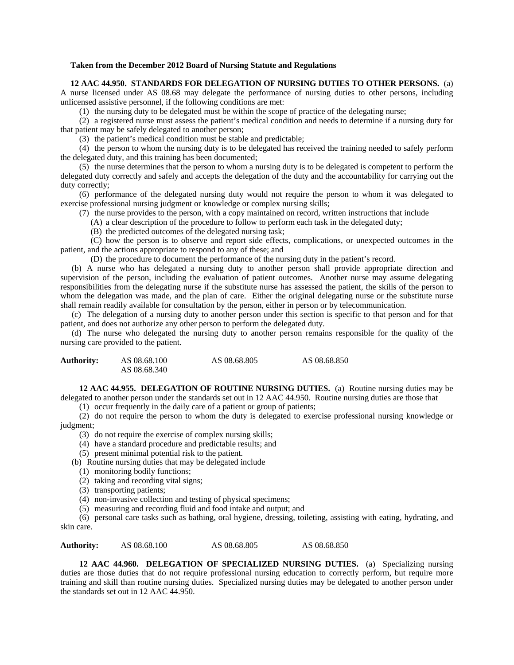## **Taken from the December 2012 Board of Nursing Statute and Regulations**

**12 AAC 44.950. STANDARDS FOR DELEGATION OF NURSING DUTIES TO OTHER PERSONS.** (a) A nurse licensed under AS 08.68 may delegate the performance of nursing duties to other persons, including unlicensed assistive personnel, if the following conditions are met:

(1) the nursing duty to be delegated must be within the scope of practice of the delegating nurse;

(2) a registered nurse must assess the patient's medical condition and needs to determine if a nursing duty for that patient may be safely delegated to another person;

(3) the patient's medical condition must be stable and predictable;

(4) the person to whom the nursing duty is to be delegated has received the training needed to safely perform the delegated duty, and this training has been documented;

(5) the nurse determines that the person to whom a nursing duty is to be delegated is competent to perform the delegated duty correctly and safely and accepts the delegation of the duty and the accountability for carrying out the duty correctly;

(6) performance of the delegated nursing duty would not require the person to whom it was delegated to exercise professional nursing judgment or knowledge or complex nursing skills;

(7) the nurse provides to the person, with a copy maintained on record, written instructions that include

(A) a clear description of the procedure to follow to perform each task in the delegated duty;

(B) the predicted outcomes of the delegated nursing task;

(C) how the person is to observe and report side effects, complications, or unexpected outcomes in the patient, and the actions appropriate to respond to any of these; and

(D) the procedure to document the performance of the nursing duty in the patient's record.

(b) A nurse who has delegated a nursing duty to another person shall provide appropriate direction and supervision of the person, including the evaluation of patient outcomes. Another nurse may assume delegating responsibilities from the delegating nurse if the substitute nurse has assessed the patient, the skills of the person to whom the delegation was made, and the plan of care. Either the original delegating nurse or the substitute nurse shall remain readily available for consultation by the person, either in person or by telecommunication.

(c) The delegation of a nursing duty to another person under this section is specific to that person and for that patient, and does not authorize any other person to perform the delegated duty.

(d) The nurse who delegated the nursing duty to another person remains responsible for the quality of the nursing care provided to the patient.

| <b>Authority:</b> | AS 08.68.100 | AS 08.68.805 | AS 08.68.850 |
|-------------------|--------------|--------------|--------------|
|                   | AS 08.68.340 |              |              |

**12 AAC 44.955. DELEGATION OF ROUTINE NURSING DUTIES.** (a) Routine nursing duties may be delegated to another person under the standards set out in 12 AAC 44.950. Routine nursing duties are those that

(1) occur frequently in the daily care of a patient or group of patients;

(2) do not require the person to whom the duty is delegated to exercise professional nursing knowledge or judgment;

- (3) do not require the exercise of complex nursing skills;
- (4) have a standard procedure and predictable results; and
- (5) present minimal potential risk to the patient.

(b) Routine nursing duties that may be delegated include

- (1) monitoring bodily functions;
- (2) taking and recording vital signs;
- (3) transporting patients;

(4) non-invasive collection and testing of physical specimens;

(5) measuring and recording fluid and food intake and output; and

(6) personal care tasks such as bathing, oral hygiene, dressing, toileting, assisting with eating, hydrating, and skin care.

**Authority:** AS 08.68.100 AS 08.68.805 AS 08.68.850

**12 AAC 44.960. DELEGATION OF SPECIALIZED NURSING DUTIES.** (a) Specializing nursing duties are those duties that do not require professional nursing education to correctly perform, but require more training and skill than routine nursing duties. Specialized nursing duties may be delegated to another person under the standards set out in 12 AAC 44.950.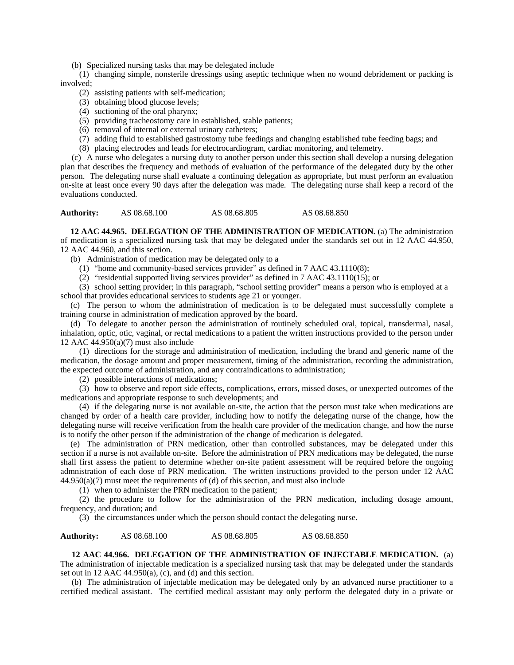(b) Specialized nursing tasks that may be delegated include

(1) changing simple, nonsterile dressings using aseptic technique when no wound debridement or packing is involved;

- (2) assisting patients with self-medication;
- (3) obtaining blood glucose levels;
- (4) suctioning of the oral pharynx;
- (5) providing tracheostomy care in established, stable patients;
- (6) removal of internal or external urinary catheters;
- (7) adding fluid to established gastrostomy tube feedings and changing established tube feeding bags; and
- (8) placing electrodes and leads for electrocardiogram, cardiac monitoring, and telemetry.

(c) A nurse who delegates a nursing duty to another person under this section shall develop a nursing delegation plan that describes the frequency and methods of evaluation of the performance of the delegated duty by the other person. The delegating nurse shall evaluate a continuing delegation as appropriate, but must perform an evaluation on-site at least once every 90 days after the delegation was made. The delegating nurse shall keep a record of the evaluations conducted.

**Authority:** AS 08.68.100 AS 08.68.805 AS 08.68.850

**12 AAC 44.965. DELEGATION OF THE ADMINISTRATION OF MEDICATION.** (a) The administration of medication is a specialized nursing task that may be delegated under the standards set out in 12 AAC 44.950, 12 AAC 44.960, and this section.

- (b) Administration of medication may be delegated only to a
	- (1) "home and community-based services provider" as defined in 7 AAC 43.1110(8);
	- (2) "residential supported living services provider" as defined in 7 AAC 43.1110(15); or

(3) school setting provider; in this paragraph, "school setting provider" means a person who is employed at a school that provides educational services to students age 21 or younger.

(c) The person to whom the administration of medication is to be delegated must successfully complete a training course in administration of medication approved by the board.

(d) To delegate to another person the administration of routinely scheduled oral, topical, transdermal, nasal, inhalation, optic, otic, vaginal, or rectal medications to a patient the written instructions provided to the person under 12 AAC 44.950(a)(7) must also include

(1) directions for the storage and administration of medication, including the brand and generic name of the medication, the dosage amount and proper measurement, timing of the administration, recording the administration, the expected outcome of administration, and any contraindications to administration;

(2) possible interactions of medications;

(3) how to observe and report side effects, complications, errors, missed doses, or unexpected outcomes of the medications and appropriate response to such developments; and

(4) if the delegating nurse is not available on-site, the action that the person must take when medications are changed by order of a health care provider, including how to notify the delegating nurse of the change, how the delegating nurse will receive verification from the health care provider of the medication change, and how the nurse is to notify the other person if the administration of the change of medication is delegated.

(e) The administration of PRN medication, other than controlled substances, may be delegated under this section if a nurse is not available on-site. Before the administration of PRN medications may be delegated, the nurse shall first assess the patient to determine whether on-site patient assessment will be required before the ongoing admnistration of each dose of PRN medication. The written instructions provided to the person under 12 AAC 44.950(a)(7) must meet the requirements of (d) of this section, and must also include

(1) when to administer the PRN medication to the patient;

(2) the procedure to follow for the administration of the PRN medication, including dosage amount, frequency, and duration; and

(3) the circumstances under which the person should contact the delegating nurse.

## **Authority:** AS 08.68.100 AS 08.68.805 AS 08.68.850

**12 AAC 44.966. DELEGATION OF THE ADMINISTRATION OF INJECTABLE MEDICATION.** (a) The administration of injectable medication is a specialized nursing task that may be delegated under the standards set out in 12 AAC  $44.950(a)$ , (c), and (d) and this section.

(b) The administration of injectable medication may be delegated only by an advanced nurse practitioner to a certified medical assistant. The certified medical assistant may only perform the delegated duty in a private or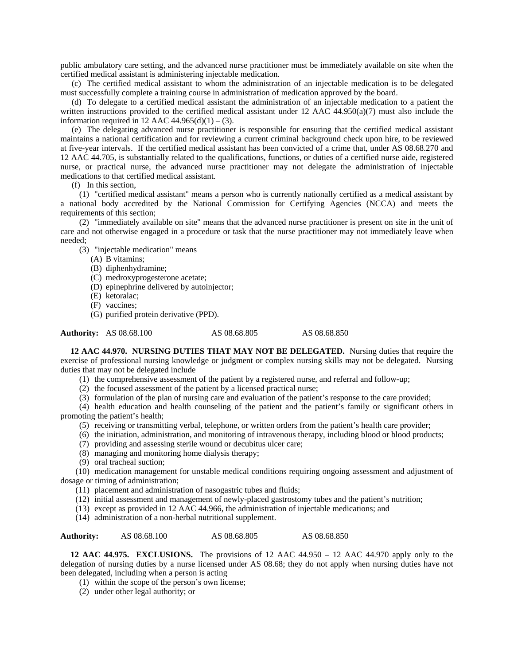public ambulatory care setting, and the advanced nurse practitioner must be immediately available on site when the certified medical assistant is administering injectable medication.

(c) The certified medical assistant to whom the administration of an injectable medication is to be delegated must successfully complete a training course in administration of medication approved by the board.

(d) To delegate to a certified medical assistant the administration of an injectable medication to a patient the written instructions provided to the certified medical assistant under 12 AAC 44.950(a)(7) must also include the information required in 12 AAC  $44.965(d)(1) - (3)$ .

(e) The delegating advanced nurse practitioner is responsible for ensuring that the certified medical assistant maintains a national certification and for reviewing a current criminal background check upon hire, to be reviewed at five-year intervals. If the certified medical assistant has been convicted of a crime that, under AS 08.68.270 and 12 AAC 44.705, is substantially related to the qualifications, functions, or duties of a certified nurse aide, registered nurse, or practical nurse, the advanced nurse practitioner may not delegate the administration of injectable medications to that certified medical assistant.

(f) In this section,

(1) "certified medical assistant" means a person who is currently nationally certified as a medical assistant by a national body accredited by the National Commission for Certifying Agencies (NCCA) and meets the requirements of this section;

(2) "immediately available on site" means that the advanced nurse practitioner is present on site in the unit of care and not otherwise engaged in a procedure or task that the nurse practitioner may not immediately leave when needed;

(3) "injectable medication" means

- (A) B vitamins;
- (B) diphenhydramine;
- (C) medroxyprogesterone acetate;
- (D) epinephrine delivered by autoinjector;
- (E) ketoralac;
- (F) vaccines;
- (G) purified protein derivative (PPD).

Authority: AS 08.68.100 AS 08.68.805 AS 08.68.850

**12 AAC 44.970. NURSING DUTIES THAT MAY NOT BE DELEGATED.** Nursing duties that require the exercise of professional nursing knowledge or judgment or complex nursing skills may not be delegated. Nursing duties that may not be delegated include

- (1) the comprehensive assessment of the patient by a registered nurse, and referral and follow-up;
- (2) the focused assessment of the patient by a licensed practical nurse;
- (3) formulation of the plan of nursing care and evaluation of the patient's response to the care provided;

(4) health education and health counseling of the patient and the patient's family or significant others in promoting the patient's health;

- (5) receiving or transmitting verbal, telephone, or written orders from the patient's health care provider;
- (6) the initiation, administration, and monitoring of intravenous therapy, including blood or blood products;
- (7) providing and assessing sterile wound or decubitus ulcer care;
- (8) managing and monitoring home dialysis therapy;
- (9) oral tracheal suction;

(10) medication management for unstable medical conditions requiring ongoing assessment and adjustment of dosage or timing of administration;

- (11) placement and administration of nasogastric tubes and fluids;
- (12) initial assessment and management of newly-placed gastrostomy tubes and the patient's nutrition;
- (13) except as provided in 12 AAC 44.966, the administration of injectable medications; and
- (14) administration of a non-herbal nutritional supplement.

Authority: AS 08.68.100 AS 08.68.805 AS 08.68.850

**12 AAC 44.975. EXCLUSIONS.** The provisions of 12 AAC 44.950 – 12 AAC 44.970 apply only to the delegation of nursing duties by a nurse licensed under AS 08.68; they do not apply when nursing duties have not been delegated, including when a person is acting

- (1) within the scope of the person's own license;
- (2) under other legal authority; or